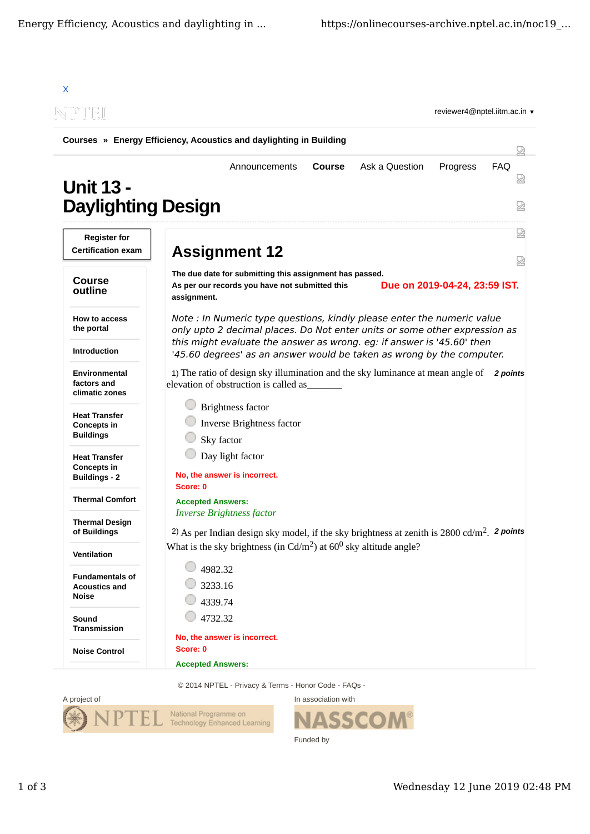| N P DE L                                                           | reviewer4@nptel.iitm.ac.in $\blacktriangledown$                                                                                                                                                                                                                                                                                                                                                                                                                                                                                                                                         |  |  |
|--------------------------------------------------------------------|-----------------------------------------------------------------------------------------------------------------------------------------------------------------------------------------------------------------------------------------------------------------------------------------------------------------------------------------------------------------------------------------------------------------------------------------------------------------------------------------------------------------------------------------------------------------------------------------|--|--|
|                                                                    | Courses » Energy Efficiency, Acoustics and daylighting in Building                                                                                                                                                                                                                                                                                                                                                                                                                                                                                                                      |  |  |
| <b>Unit 13 -</b><br><b>Daylighting Design</b>                      | <b>Course</b><br>Ask a Question<br>Progress<br><b>FAQ</b><br>Announcements<br>成                                                                                                                                                                                                                                                                                                                                                                                                                                                                                                         |  |  |
|                                                                    | 눲                                                                                                                                                                                                                                                                                                                                                                                                                                                                                                                                                                                       |  |  |
| <b>Register for</b><br><b>Certification exam</b>                   | <b>Assignment 12</b><br>났                                                                                                                                                                                                                                                                                                                                                                                                                                                                                                                                                               |  |  |
| <b>Course</b><br>outline                                           | The due date for submitting this assignment has passed.<br>Due on 2019-04-24, 23:59 IST.<br>As per our records you have not submitted this<br>assignment.                                                                                                                                                                                                                                                                                                                                                                                                                               |  |  |
| How to access<br>the portal                                        | Note : In Numeric type questions, kindly please enter the numeric value<br>only upto 2 decimal places. Do Not enter units or some other expression as<br>this might evaluate the answer as wrong. eg: if answer is '45.60' then<br>'45.60 degrees' as an answer would be taken as wrong by the computer.<br>1) The ratio of design sky illumination and the sky luminance at mean angle of<br>2 points<br>elevation of obstruction is called as_<br><b>Brightness factor</b><br>Inverse Brightness factor<br>Sky factor<br>Day light factor<br>No, the answer is incorrect.<br>Score: 0 |  |  |
| <b>Introduction</b>                                                |                                                                                                                                                                                                                                                                                                                                                                                                                                                                                                                                                                                         |  |  |
| Environmental<br>factors and<br>climatic zones                     |                                                                                                                                                                                                                                                                                                                                                                                                                                                                                                                                                                                         |  |  |
| <b>Heat Transfer</b><br><b>Concepts in</b><br><b>Buildings</b>     |                                                                                                                                                                                                                                                                                                                                                                                                                                                                                                                                                                                         |  |  |
| <b>Heat Transfer</b><br><b>Concepts in</b><br><b>Buildings - 2</b> |                                                                                                                                                                                                                                                                                                                                                                                                                                                                                                                                                                                         |  |  |
| <b>Thermal Comfort</b>                                             | <b>Accepted Answers:</b><br><i><b>Inverse Brightness factor</b></i><br>2) As per Indian design sky model, if the sky brightness at zenith is $2800 \text{ cd/m}^2$ . 2 points<br>What is the sky brightness (in $Cd/m2$ ) at 60 <sup>0</sup> sky altitude angle?<br>4982.32<br>3233.16<br>4339.74                                                                                                                                                                                                                                                                                       |  |  |
| <b>Thermal Design</b><br>of Buildings                              |                                                                                                                                                                                                                                                                                                                                                                                                                                                                                                                                                                                         |  |  |
| Ventilation                                                        |                                                                                                                                                                                                                                                                                                                                                                                                                                                                                                                                                                                         |  |  |
| <b>Fundamentals of</b><br><b>Acoustics and</b><br>Noise            |                                                                                                                                                                                                                                                                                                                                                                                                                                                                                                                                                                                         |  |  |
| Sound<br><b>Transmission</b>                                       | 4732.32                                                                                                                                                                                                                                                                                                                                                                                                                                                                                                                                                                                 |  |  |
| <b>Noise Control</b>                                               | No, the answer is incorrect.<br>Score: 0                                                                                                                                                                                                                                                                                                                                                                                                                                                                                                                                                |  |  |



In association with **NASSCOM®** h Funded by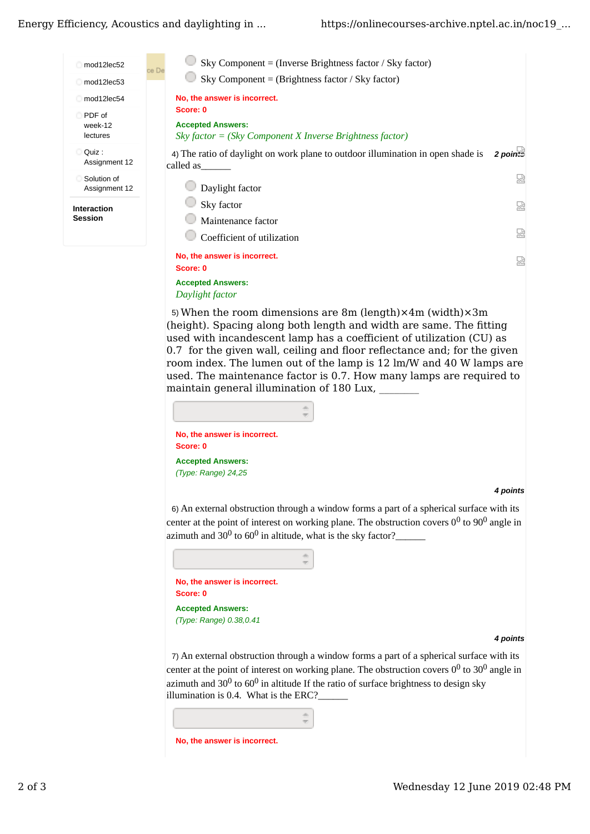## Energy Efficiency, Acoustics and daylighting in ...



5) When the room dimensions are 8m (length) $\times$ 4m (width) $\times$ 3m (height). Spacing along both length and width are same. The fitting used with incandescent lamp has a coefficient of utilization (CU) as 0.7 for the given wall, ceiling and floor reflectance and; for the given room index. The lumen out of the lamp is 12 lm/W and 40 W lamps are used. The maintenance factor is 0.7. How many lamps are required to maintain general illumination of 180 Lux,

| No, the answer is incorrect.<br>Score: 0 |  |
|------------------------------------------|--|
| <b>Accepted Answers:</b>                 |  |
| $(Tvpe: Range)$ 24,25                    |  |

## 4 points

6) An external obstruction through a window forms a part of a spherical surface with its center at the point of interest on working plane. The obstruction covers  $0^0$  to  $90^0$  angle in azimuth and  $30^0$  to  $60^0$  in altitude, what is the sky factor?

|          | No, the answer is incorrect. |
|----------|------------------------------|
| Score: 0 |                              |
|          | <b>Accepted Answers:</b>     |
|          | (Type: Range) 0.38,0.41      |

## 4 points

7) An external obstruction through a window forms a part of a spherical surface with its center at the point of interest on working plane. The obstruction covers  $0^0$  to  $30^0$  angle in azimuth and  $30^0$  to  $60^0$  in altitude If the ratio of surface brightness to design sky illumination is 0.4. What is the ERC?\_